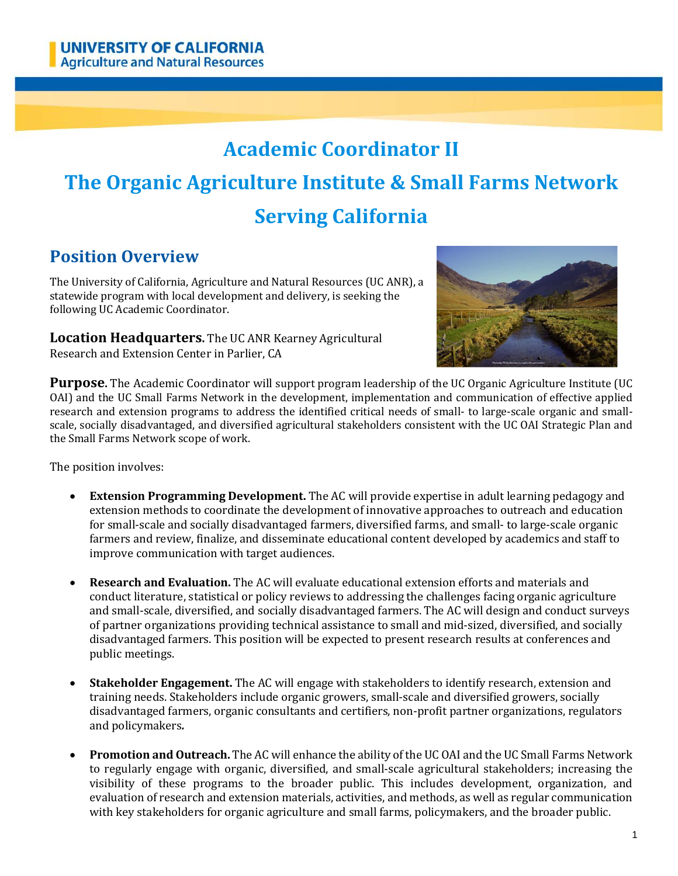# **Academic Coordinator II**

# **The Organic Agriculture Institute & Small Farms Network Serving California**

# **Position Overview**

The University of California, Agriculture and Natural Resources (UC ANR), a statewide program with local development and delivery, is seeking the following UC Academic Coordinator.

**Location Headquarters.** The UC ANR Kearney Agricultural Research and Extension Center in Parlier, CA



**Purpose.** The Academic Coordinator will support program leadership of the UC Organic Agriculture Institute (UC OAI) and the UC Small Farms Network in the development, implementation and communication of effective applied research and extension programs to address the identified critical needs of small- to large-scale organic and smallscale, socially disadvantaged, and diversified agricultural stakeholders consistent with the UC OAI Strategic Plan and the Small Farms Network scope of work.

The position involves:

- **Extension Programming Development.** The AC will provide expertise in adult learning pedagogy and extension methods to coordinate the development of innovative approaches to outreach and education for small-scale and socially disadvantaged farmers, diversified farms, and small- to large-scale organic farmers and review, finalize, and disseminate educational content developed by academics and staff to improve communication with target audiences.
- **Research and Evaluation.** The AC will evaluate educational extension efforts and materials and conduct literature, statistical or policy reviews to addressing the challenges facing organic agriculture and small-scale, diversified, and socially disadvantaged farmers. The AC will design and conduct surveys of partner organizations providing technical assistance to small and mid-sized, diversified, and socially disadvantaged farmers. This position will be expected to present research results at conferences and public meetings.
- **Stakeholder Engagement.** The AC will engage with stakeholders to identify research, extension and training needs. Stakeholders include organic growers, small-scale and diversified growers, socially disadvantaged farmers, organic consultants and certifiers, non-profit partner organizations, regulators and policymakers*.*
- **Promotion and Outreach.** The AC will enhance the ability of the UC OAI and the UC Small Farms Network to regularly engage with organic, diversified, and small-scale agricultural stakeholders; increasing the visibility of these programs to the broader public. This includes development, organization, and evaluation of research and extension materials, activities, and methods, as well as regular communication with key stakeholders for organic agriculture and small farms, policymakers, and the broader public.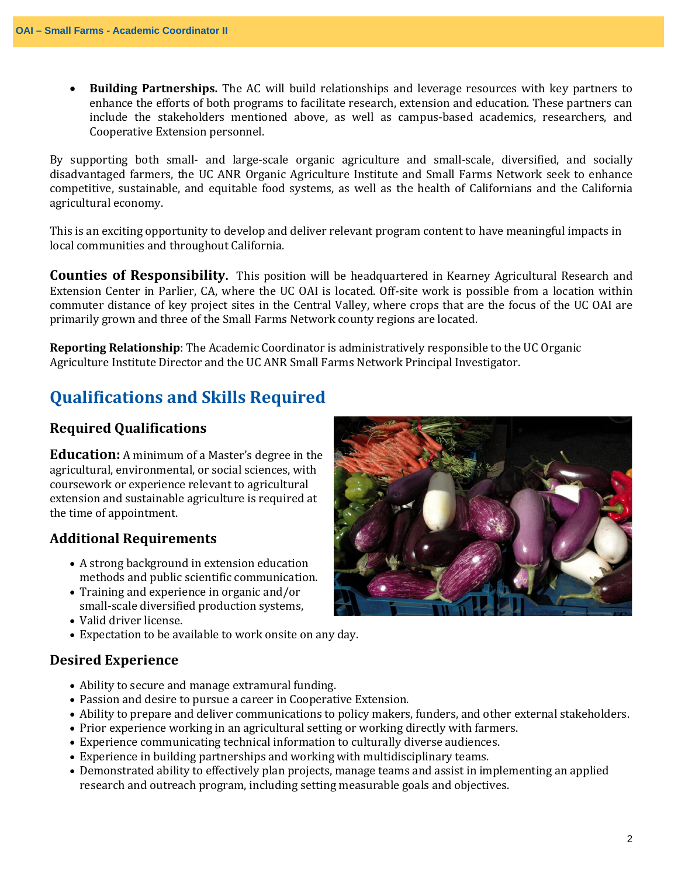• **Building Partnerships.** The AC will build relationships and leverage resources with key partners to enhance the efforts of both programs to facilitate research, extension and education. These partners can include the stakeholders mentioned above, as well as campus-based academics, researchers, and Cooperative Extension personnel.

By supporting both small- and large-scale organic agriculture and small-scale, diversified, and socially disadvantaged farmers, the UC ANR Organic Agriculture Institute and Small Farms Network seek to enhance competitive, sustainable, and equitable food systems, as well as the health of Californians and the California agricultural economy.

This is an exciting opportunity to develop and deliver relevant program content to have meaningful impacts in local communities and throughout California.

**Counties of Responsibility.** This position will be headquartered in Kearney Agricultural Research and Extension Center in Parlier, CA, where the UC OAI is located. Off-site work is possible from a location within commuter distance of key project sites in the Central Valley, where crops that are the focus of the UC OAI are primarily grown and three of the Small Farms Network county regions are located.

**Reporting Relationship**: The Academic Coordinator is administratively responsible to the UC Organic Agriculture Institute Director and the UC ANR Small Farms Network Principal Investigator.

### **Qualifications and Skills Required**

#### **Required Qualifications**

**Education:** A minimum of a Master's degree in the agricultural, environmental, or social sciences, with coursework or experience relevant to agricultural extension and sustainable agriculture is required at the time of appointment.

#### **Additional Requirements**

- A strong background in extension education methods and public scientific communication.
- Training and experience in organic and/or small-scale diversified production systems,
- Valid driver license.
- Expectation to be available to work onsite on any day.

#### **Desired Experience**

- Ability to secure and manage extramural funding.
- Passion and desire to pursue a career in Cooperative Extension.
- Ability to prepare and deliver communications to policy makers, funders, and other external stakeholders.
- Prior experience working in an agricultural setting or working directly with farmers.
- Experience communicating technical information to culturally diverse audiences.
- Experience in building partnerships and working with multidisciplinary teams.
- Demonstrated ability to effectively plan projects, manage teams and assist in implementing an applied research and outreach program, including setting measurable goals and objectives.

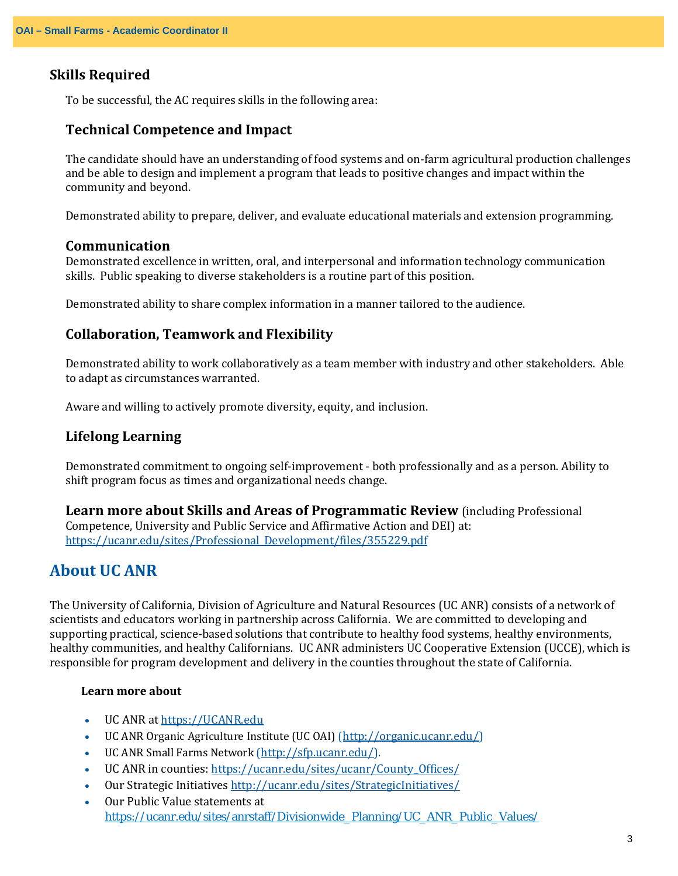#### **Skills Required**

To be successful, the AC requires skills in the following area:

#### **Technical Competence and Impact**

The candidate should have an understanding of food systems and on-farm agricultural production challenges and be able to design and implement a program that leads to positive changes and impact within the community and beyond.

Demonstrated ability to prepare, deliver, and evaluate educational materials and extension programming.

#### **Communication**

Demonstrated excellence in written, oral, and interpersonal and information technology communication skills. Public speaking to diverse stakeholders is a routine part of this position.

Demonstrated ability to share complex information in a manner tailored to the audience.

#### **Collaboration, Teamwork and Flexibility**

Demonstrated ability to work collaboratively as a team member with industry and other stakeholders. Able to adapt as circumstances warranted.

Aware and willing to actively promote diversity, equity, and inclusion.

#### **Lifelong Learning**

Demonstrated commitment to ongoing self-improvement - both professionally and as a person. Ability to shift program focus as times and organizational needs change.

**Learn more about Skills and Areas of Programmatic Review** (including Professional Competence, University and Public Service and Affirmative Action and DEI) at: [https://ucanr.edu/sites/Professional\\_Development/files/355229.pdf](https://ucanr.edu/sites/Professional_Development/files/355229.pdf)

### **About UC ANR**

The University of California, Division of Agriculture and Natural Resources (UC ANR) consists of a network of scientists and educators working in partnership across California. We are committed to developing and supporting practical, science-based solutions that contribute to healthy food systems, healthy environments, healthy communities, and healthy Californians. UC ANR administers UC Cooperative Extension (UCCE), which is responsible for program development and delivery in the counties throughout the state of California.

#### **Learn more about**

- UC ANR a[t https://UCANR.edu](https://ucanr.edu/)
- UC ANR Organic Agriculture Institute (UC OAI) [\(http://organic.ucanr.edu/\)](http://organic.ucanr.edu/)
- UC ANR Small Farms Network [\(http://sfp.ucanr.edu/\)](http://sfp.ucanr.edu/).
- UC ANR in counties: [https://ucanr.edu/sites/ucanr/County\\_Offices/](https://ucanr.edu/sites/ucanr/County_Offices/)
- Our Strategic Initiative[s http://ucanr.edu/sites/StrategicInitiatives/](http://ucanr.edu/sites/StrategicInitiatives/)
- Our Public Value statements at [https://ucanr.edu/sites/anrstaff/Divisionwide\\_Planning/UC\\_ANR\\_Public\\_Values/](https://ucanr.edu/sites/anrstaff/Divisionwide_Planning/UC_ANR_Public_Values/)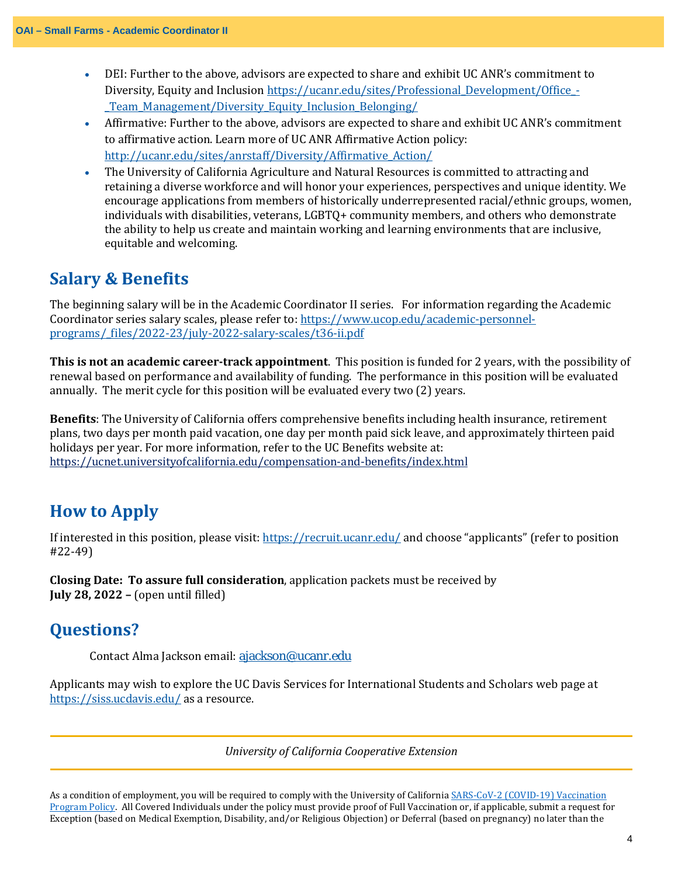- DEI: Further to the above, advisors are expected to share and exhibit UC ANR's commitment to Diversity, Equity and Inclusion [https://ucanr.edu/sites/Professional\\_Development/Office\\_-](https://ucanr.edu/sites/Professional_Development/Office_-_Team_Management/Diversity_Equity_Inclusion_Belonging/) [\\_Team\\_Management/Diversity\\_Equity\\_Inclusion\\_Belonging/](https://ucanr.edu/sites/Professional_Development/Office_-_Team_Management/Diversity_Equity_Inclusion_Belonging/)
- Affirmative: Further to the above, advisors are expected to share and exhibit UC ANR's commitment to affirmative action. Learn more of UC ANR Affirmative Action policy: [http://ucanr.edu/sites/anrstaff/Diversity/Affirmative\\_Action/](http://ucanr.edu/sites/anrstaff/Diversity/Affirmative_Action/)
- The University of California Agriculture and Natural Resources is committed to attracting and retaining a diverse workforce and will honor your experiences, perspectives and unique identity. We encourage applications from members of historically underrepresented racial/ethnic groups, women, individuals with disabilities, veterans, LGBTQ+ community members, and others who demonstrate the ability to help us create and maintain working and learning environments that are inclusive, equitable and welcoming.

### **Salary & Benefits**

The beginning salary will be in the Academic Coordinator II series. For information regarding the Academic Coordinator series salary scales, please refer to: [https://www.ucop.edu/academic-personnel](https://www.ucop.edu/academic-personnel-programs/_files/2022-23/july-2022-salary-scales/t36-ii.pdf)[programs/\\_files/2022-23/july-2022-salary-scales/t36-ii.pdf](https://www.ucop.edu/academic-personnel-programs/_files/2022-23/july-2022-salary-scales/t36-ii.pdf)

**This is not an academic career-track appointment**. This position is funded for 2 years, with the possibility of renewal based on performance and availability of funding. The performance in this position will be evaluated annually. The merit cycle for this position will be evaluated every two (2) years.

**Benefits**: The University of California offers comprehensive benefits including health insurance, retirement plans, two days per month paid vacation, one day per month paid sick leave, and approximately thirteen paid holidays per year. For more information, refer to the UC Benefits website at: <https://ucnet.universityofcalifornia.edu/compensation-and-benefits/index.html>

# **How to Apply**

If interested in this position, please visit: <https://recruit.ucanr.edu/> and choose "applicants" (refer to position #22-49)

**Closing Date: To assure full consideration**, application packets must be received by **July 28, 2022 –** (open until filled)

## **Questions?**

Contact Alma Jackson email: [ajackson@ucanr.edu](mailto:ajackson@ucanr.edu)

Applicants may wish to explore the UC Davis Services for International Students and Scholars web page at <https://siss.ucdavis.edu/> as a resource.

*University of California Cooperative Extension*

As a condition of employment, you will be required to comply with the University of California [SARS-CoV-2](https://policy.ucop.edu/doc/5000695/SARS-CoV-2_Covid-19) (COVID-19) Vaccination [Program](https://policy.ucop.edu/doc/5000695/SARS-CoV-2_Covid-19) Policy. All Covered Individuals under the policy must provide proof of Full Vaccination or, if applicable, submit a request for Exception (based on Medical Exemption, Disability, and/or Religious Objection) or Deferral (based on pregnancy) no later than the